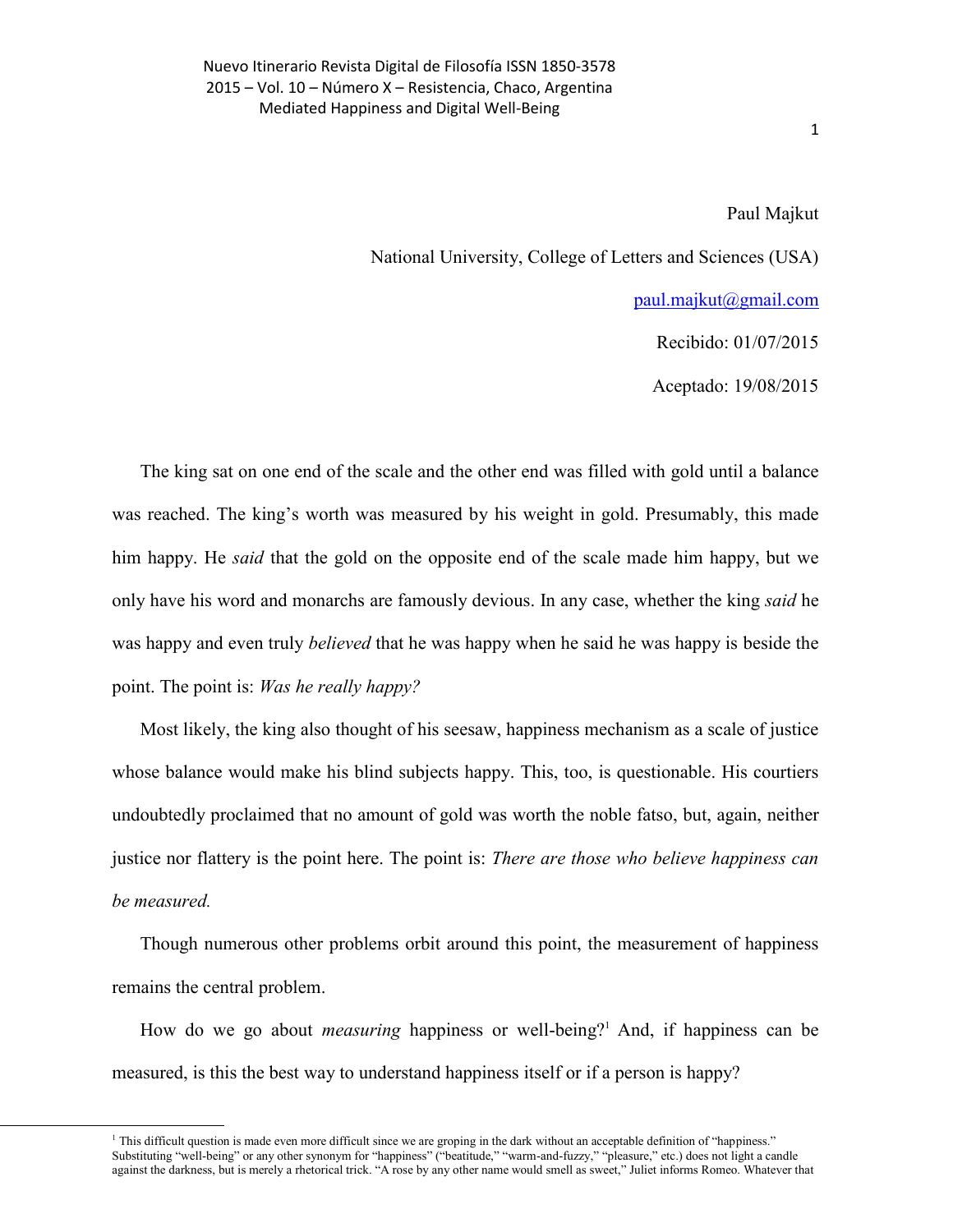Paul Majkut

National University, College of Letters and Sciences (USA)

[paul.majkut@gmail.com](mailto:paul.majkut@gmail.com)

Recibido: 01/07/2015

Aceptado: 19/08/2015

The king sat on one end of the scale and the other end was filled with gold until a balance was reached. The king's worth was measured by his weight in gold. Presumably, this made him happy. He *said* that the gold on the opposite end of the scale made him happy, but we only have his word and monarchs are famously devious. In any case, whether the king *said* he was happy and even truly *believed* that he was happy when he said he was happy is beside the point. The point is: *Was he really happy?* 

Most likely, the king also thought of his seesaw, happiness mechanism as a scale of justice whose balance would make his blind subjects happy. This, too, is questionable. His courtiers undoubtedly proclaimed that no amount of gold was worth the noble fatso, but, again, neither justice nor flattery is the point here. The point is: *There are those who believe happiness can be measured.*

Though numerous other problems orbit around this point, the measurement of happiness remains the central problem.

How do we go about *measuring* happiness or well-being?<sup>1</sup> And, if happiness can be measured, is this the best way to understand happiness itself or if a person is happy?

 $<sup>1</sup>$  This difficult question is made even more difficult since we are groping in the dark without an acceptable definition of "happiness."</sup> Substituting "well-being" or any other synonym for "happiness" ("beatitude," "warm-and-fuzzy," "pleasure," etc.) does not light a candle against the darkness, but is merely a rhetorical trick. "A rose by any other name would smell as sweet," Juliet informs Romeo. Whatever that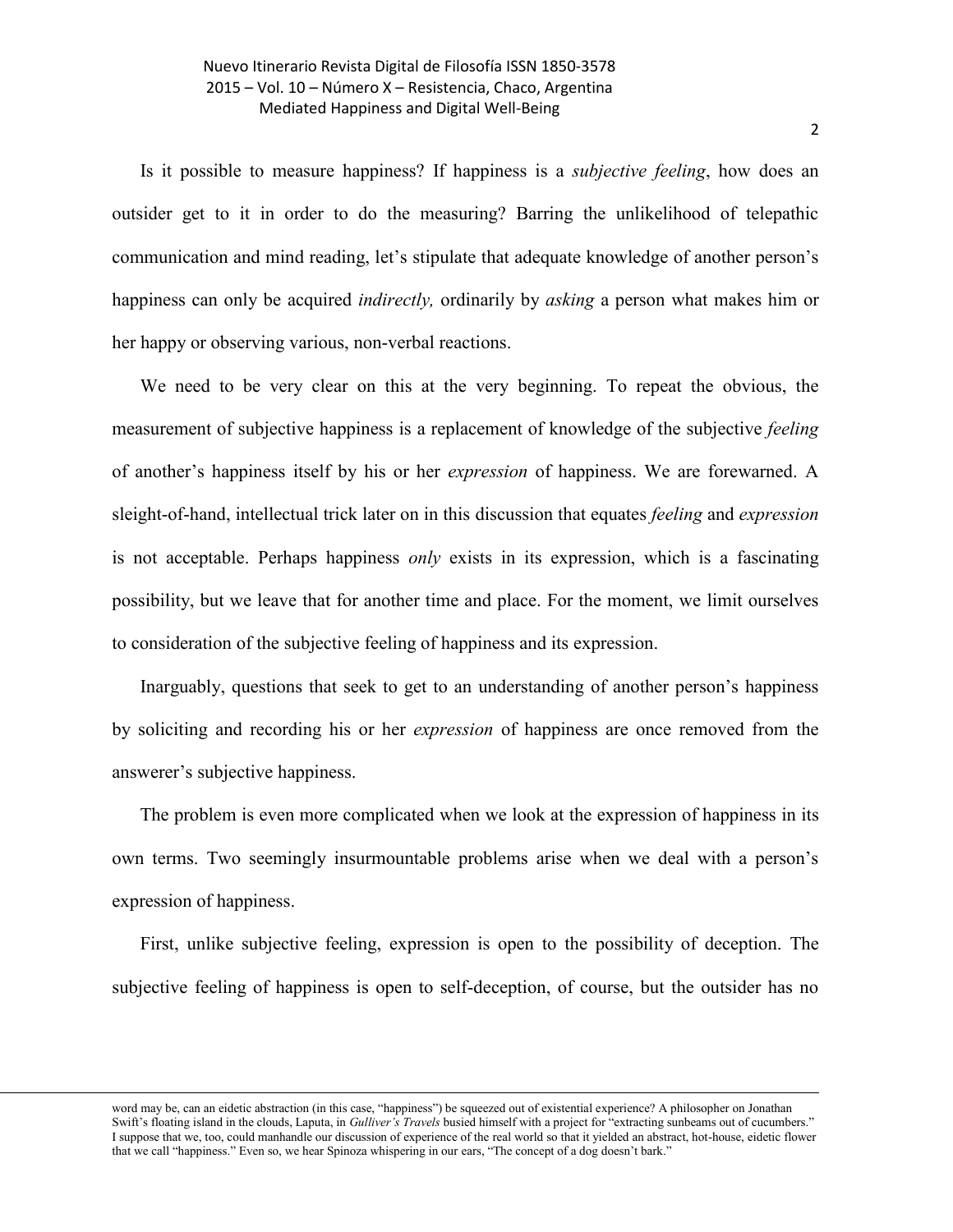Is it possible to measure happiness? If happiness is a *subjective feeling*, how does an outsider get to it in order to do the measuring? Barring the unlikelihood of telepathic communication and mind reading, let's stipulate that adequate knowledge of another person's happiness can only be acquired *indirectly,* ordinarily by *asking* a person what makes him or her happy or observing various, non-verbal reactions.

We need to be very clear on this at the very beginning. To repeat the obvious, the measurement of subjective happiness is a replacement of knowledge of the subjective *feeling* of another's happiness itself by his or her *expression* of happiness. We are forewarned. A sleight-of-hand, intellectual trick later on in this discussion that equates *feeling* and *expression* is not acceptable. Perhaps happiness *only* exists in its expression, which is a fascinating possibility, but we leave that for another time and place. For the moment, we limit ourselves to consideration of the subjective feeling of happiness and its expression.

Inarguably, questions that seek to get to an understanding of another person's happiness by soliciting and recording his or her *expression* of happiness are once removed from the answerer's subjective happiness.

The problem is even more complicated when we look at the expression of happiness in its own terms. Two seemingly insurmountable problems arise when we deal with a person's expression of happiness.

First, unlike subjective feeling, expression is open to the possibility of deception. The subjective feeling of happiness is open to self-deception, of course, but the outsider has no

word may be, can an eidetic abstraction (in this case, "happiness") be squeezed out of existential experience? A philosopher on Jonathan Swift's floating island in the clouds, Laputa, in *Gulliver's Travels* busied himself with a project for "extracting sunbeams out of cucumbers." I suppose that we, too, could manhandle our discussion of experience of the real world so that it yielded an abstract, hot-house, eidetic flower that we call "happiness." Even so, we hear Spinoza whispering in our ears, "The concept of a dog doesn't bark."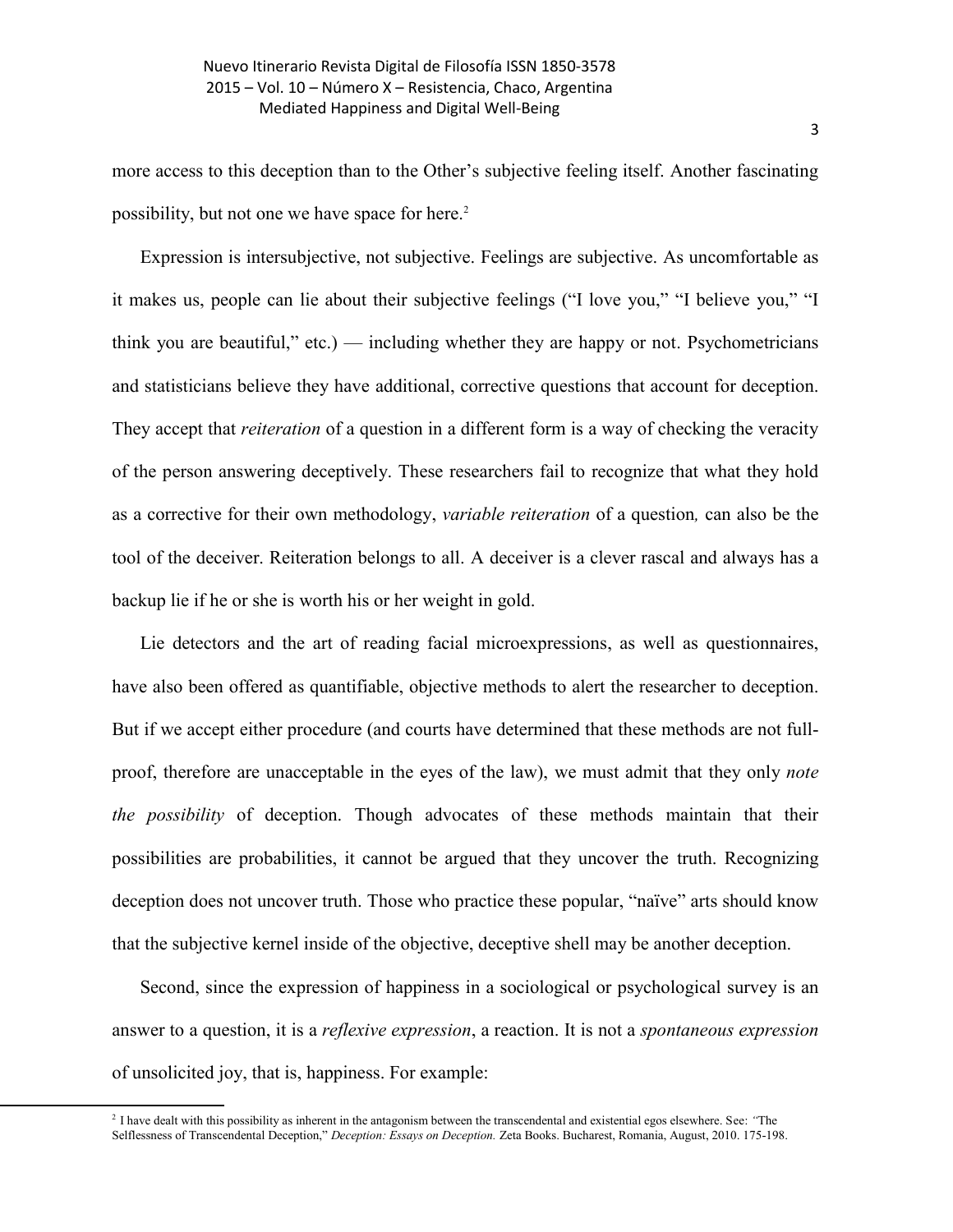more access to this deception than to the Other's subjective feeling itself. Another fascinating possibility, but not one we have space for here.<sup>2</sup>

Expression is intersubjective, not subjective. Feelings are subjective. As uncomfortable as it makes us, people can lie about their subjective feelings ("I love you," "I believe you," "I think you are beautiful," etc.) — including whether they are happy or not. Psychometricians and statisticians believe they have additional, corrective questions that account for deception. They accept that *reiteration* of a question in a different form is a way of checking the veracity of the person answering deceptively. These researchers fail to recognize that what they hold as a corrective for their own methodology, *variable reiteration* of a question*,* can also be the tool of the deceiver. Reiteration belongs to all. A deceiver is a clever rascal and always has a backup lie if he or she is worth his or her weight in gold.

Lie detectors and the art of reading facial microexpressions, as well as questionnaires, have also been offered as quantifiable, objective methods to alert the researcher to deception. But if we accept either procedure (and courts have determined that these methods are not fullproof, therefore are unacceptable in the eyes of the law), we must admit that they only *note the possibility* of deception. Though advocates of these methods maintain that their possibilities are probabilities, it cannot be argued that they uncover the truth. Recognizing deception does not uncover truth. Those who practice these popular, "naïve" arts should know that the subjective kernel inside of the objective, deceptive shell may be another deception.

Second, since the expression of happiness in a sociological or psychological survey is an answer to a question, it is a *reflexive expression*, a reaction. It is not a *spontaneous expression* of unsolicited joy, that is, happiness. For example:

 $\overline{a}$ 

<sup>2</sup> I have dealt with this possibility as inherent in the antagonism between the transcendental and existential egos elsewhere. See: *"*The Selflessness of Transcendental Deception," *Deception: Essays on Deception.* Zeta Books. Bucharest, Romania, August, 2010. 175-198.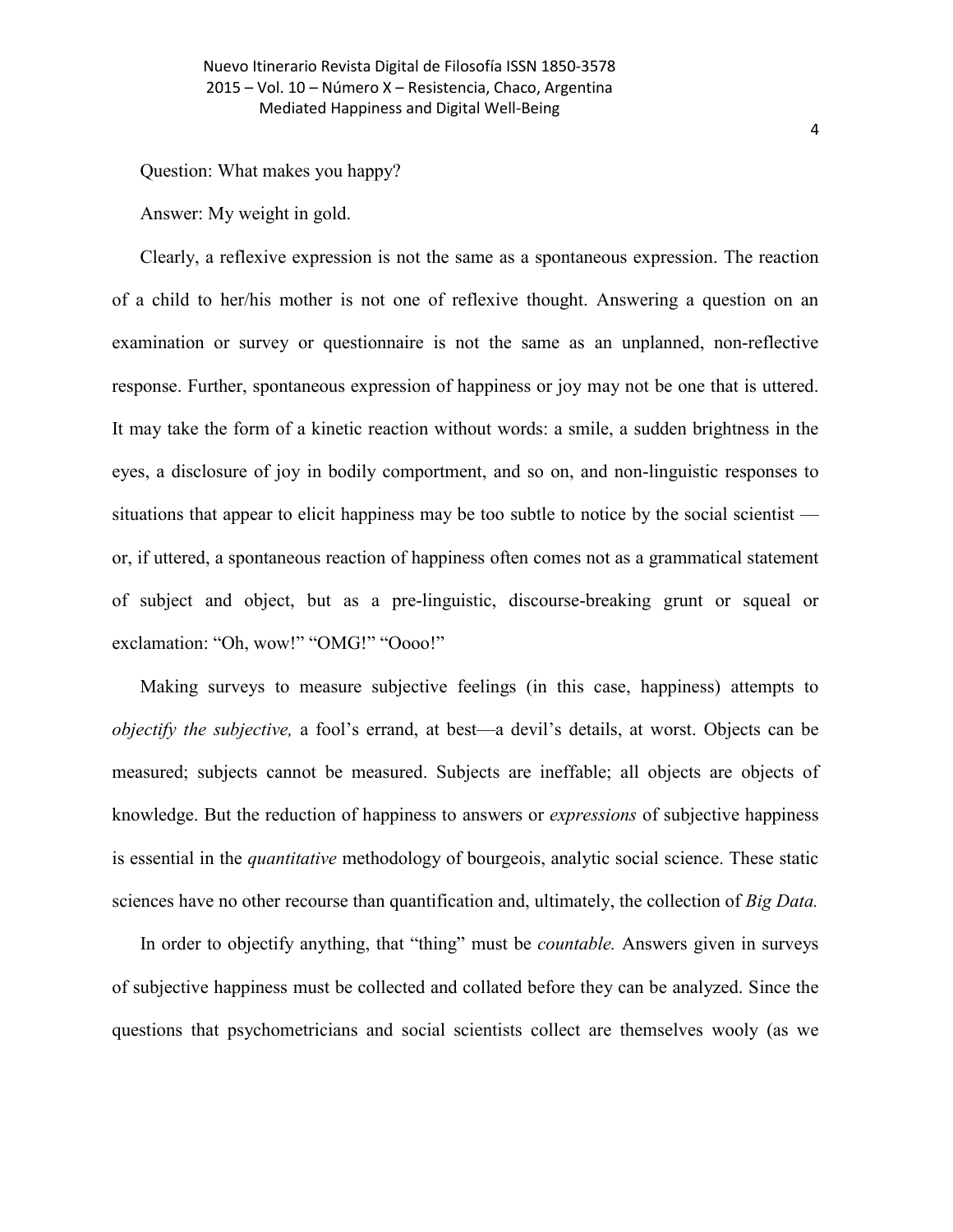Question: What makes you happy?

Answer: My weight in gold.

Clearly, a reflexive expression is not the same as a spontaneous expression. The reaction of a child to her/his mother is not one of reflexive thought. Answering a question on an examination or survey or questionnaire is not the same as an unplanned, non-reflective response. Further, spontaneous expression of happiness or joy may not be one that is uttered. It may take the form of a kinetic reaction without words: a smile, a sudden brightness in the eyes, a disclosure of joy in bodily comportment, and so on, and non-linguistic responses to situations that appear to elicit happiness may be too subtle to notice by the social scientist or, if uttered, a spontaneous reaction of happiness often comes not as a grammatical statement of subject and object, but as a pre-linguistic, discourse-breaking grunt or squeal or exclamation: "Oh, wow!" "OMG!" "Oooo!"

Making surveys to measure subjective feelings (in this case, happiness) attempts to *objectify the subjective,* a fool's errand, at best—a devil's details, at worst. Objects can be measured; subjects cannot be measured. Subjects are ineffable; all objects are objects of knowledge. But the reduction of happiness to answers or *expressions* of subjective happiness is essential in the *quantitative* methodology of bourgeois, analytic social science. These static sciences have no other recourse than quantification and, ultimately, the collection of *Big Data.*

In order to objectify anything, that "thing" must be *countable.* Answers given in surveys of subjective happiness must be collected and collated before they can be analyzed. Since the questions that psychometricians and social scientists collect are themselves wooly (as we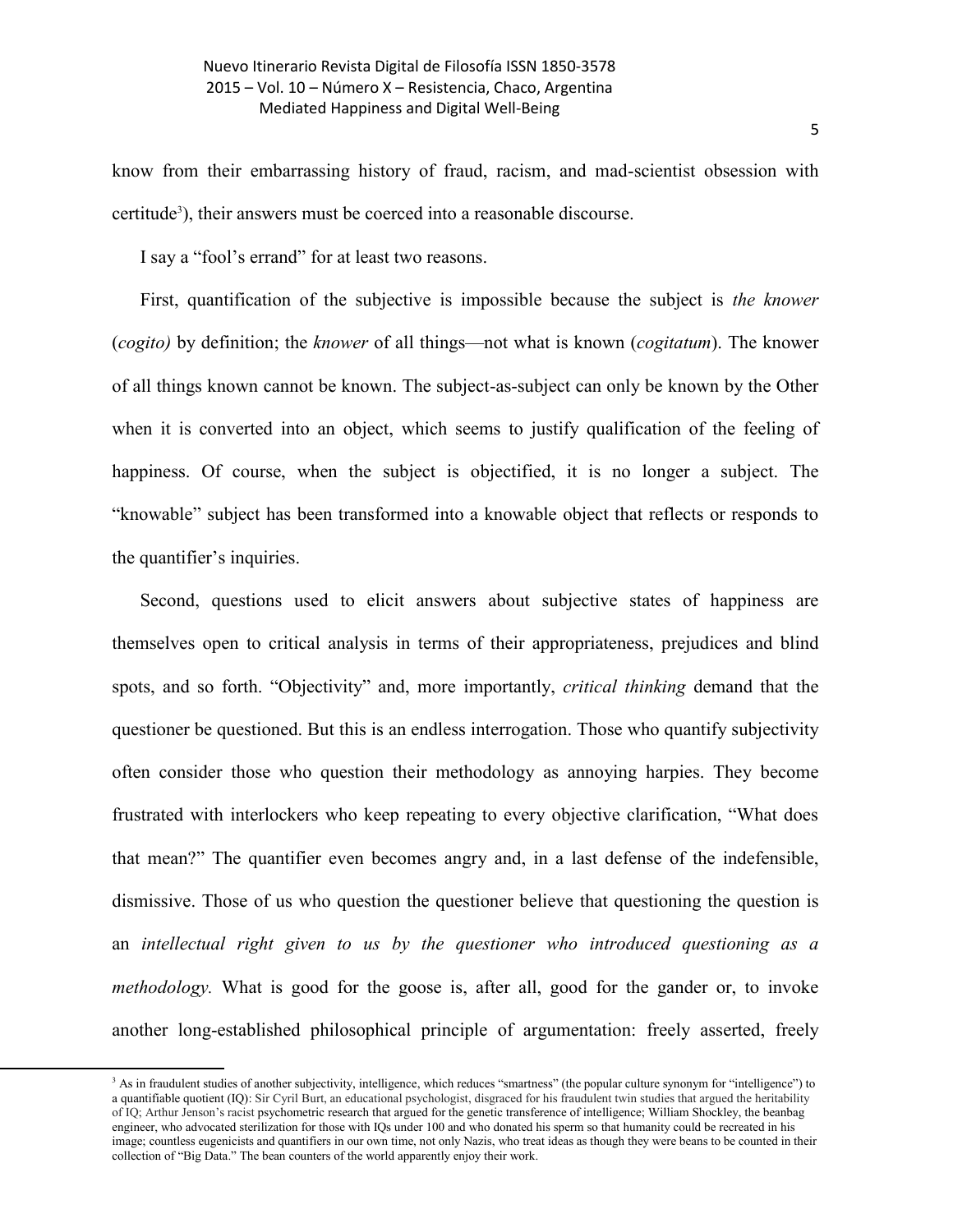know from their embarrassing history of fraud, racism, and mad-scientist obsession with certitude<sup>3</sup>), their answers must be coerced into a reasonable discourse.

I say a "fool's errand" for at least two reasons.

First, quantification of the subjective is impossible because the subject is *the knower*  (*cogito)* by definition; the *knower* of all things—not what is known (*cogitatum*). The knower of all things known cannot be known. The subject-as-subject can only be known by the Other when it is converted into an object, which seems to justify qualification of the feeling of happiness. Of course, when the subject is objectified, it is no longer a subject. The "knowable" subject has been transformed into a knowable object that reflects or responds to the quantifier's inquiries.

Second, questions used to elicit answers about subjective states of happiness are themselves open to critical analysis in terms of their appropriateness, prejudices and blind spots, and so forth. "Objectivity" and, more importantly, *critical thinking* demand that the questioner be questioned. But this is an endless interrogation. Those who quantify subjectivity often consider those who question their methodology as annoying harpies. They become frustrated with interlockers who keep repeating to every objective clarification, "What does that mean?" The quantifier even becomes angry and, in a last defense of the indefensible, dismissive. Those of us who question the questioner believe that questioning the question is an *intellectual right given to us by the questioner who introduced questioning as a methodology.* What is good for the goose is, after all, good for the gander or, to invoke another long-established philosophical principle of argumentation: freely asserted, freely

l

<sup>&</sup>lt;sup>3</sup> As in fraudulent studies of another subjectivity, intelligence, which reduces "smartness" (the popular culture synonym for "intelligence") to a quantifiable quotient (IQ): Sir Cyril Burt, an educational psychologist, disgraced for his fraudulent twin studies that argued the heritability of IQ; Arthur Jenson's racist psychometric research that argued for the genetic transference of intelligence; William Shockley, the beanbag engineer, who advocated sterilization for those with IQs under 100 and who donated his sperm so that humanity could be recreated in his image; countless eugenicists and quantifiers in our own time, not only Nazis, who treat ideas as though they were beans to be counted in their collection of "Big Data." The bean counters of the world apparently enjoy their work.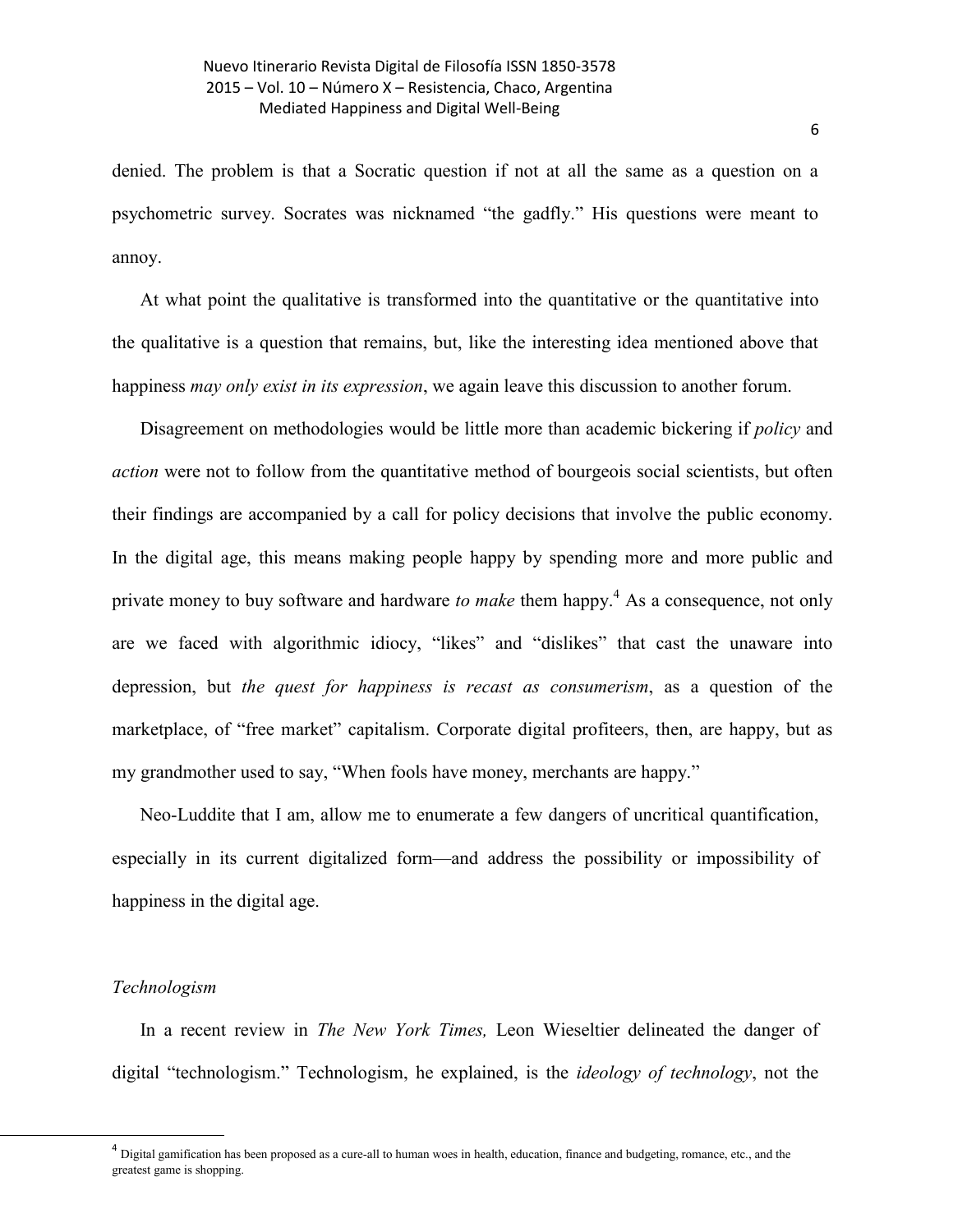denied. The problem is that a Socratic question if not at all the same as a question on a psychometric survey. Socrates was nicknamed "the gadfly." His questions were meant to annoy.

At what point the qualitative is transformed into the quantitative or the quantitative into the qualitative is a question that remains, but, like the interesting idea mentioned above that happiness *may only exist in its expression*, we again leave this discussion to another forum.

Disagreement on methodologies would be little more than academic bickering if *policy* and *action* were not to follow from the quantitative method of bourgeois social scientists, but often their findings are accompanied by a call for policy decisions that involve the public economy. In the digital age, this means making people happy by spending more and more public and private money to buy software and hardware *to make* them happy. <sup>4</sup> As a consequence, not only are we faced with algorithmic idiocy, "likes" and "dislikes" that cast the unaware into depression, but *the quest for happiness is recast as consumerism*, as a question of the marketplace, of "free market" capitalism. Corporate digital profiteers, then, are happy, but as my grandmother used to say, "When fools have money, merchants are happy."

Neo-Luddite that I am, allow me to enumerate a few dangers of uncritical quantification, especially in its current digitalized form—and address the possibility or impossibility of happiness in the digital age.

## *Technologism*

l

In a recent review in *The New York Times,* Leon Wieseltier delineated the danger of digital "technologism." Technologism, he explained, is the *ideology of technology*, not the

 $^4$  Digital gamification has been proposed as a cure-all to human woes in health, education, finance and budgeting, romance, etc., and the greatest game is shopping.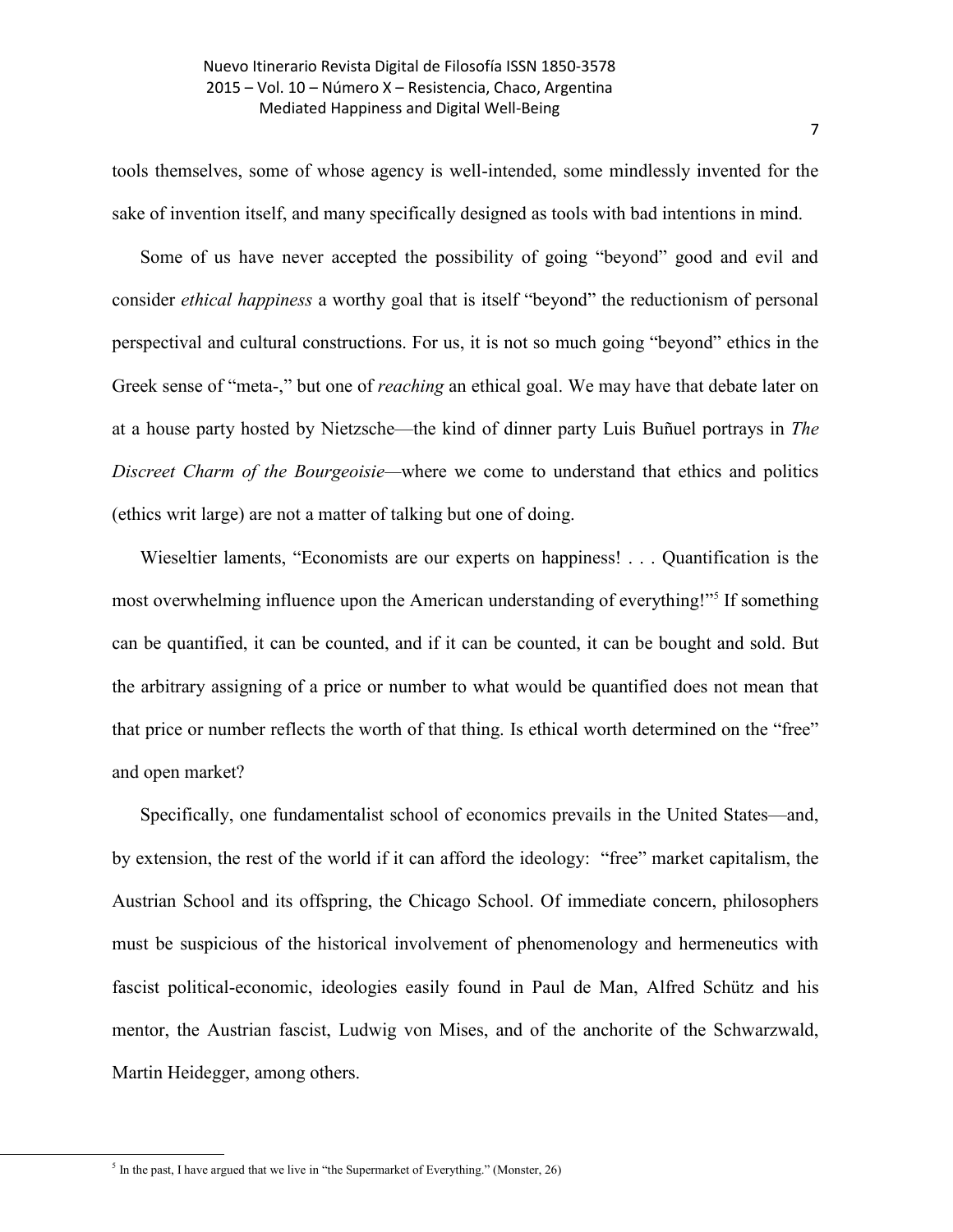tools themselves, some of whose agency is well-intended, some mindlessly invented for the sake of invention itself, and many specifically designed as tools with bad intentions in mind.

Some of us have never accepted the possibility of going "beyond" good and evil and consider *ethical happiness* a worthy goal that is itself "beyond" the reductionism of personal perspectival and cultural constructions. For us, it is not so much going "beyond" ethics in the Greek sense of "meta-," but one of *reaching* an ethical goal. We may have that debate later on at a house party hosted by [Nietzsche](https://en.wikipedia.org/wiki/Friedrich_Nietzsche)—the kind of dinner party Luis Buñuel portrays in *The Discreet Charm of the Bourgeoisie—*where we come to understand that ethics and politics (ethics writ large) are not a matter of talking but one of doing.

Wieseltier laments, "Economists are our experts on happiness! . . . Quantification is the most overwhelming influence upon the American understanding of everything!"<sup>5</sup> If something can be quantified, it can be counted, and if it can be counted, it can be bought and sold. But the arbitrary assigning of a price or number to what would be quantified does not mean that that price or number reflects the worth of that thing. Is ethical worth determined on the "free" and open market?

Specifically, one fundamentalist school of economics prevails in the United States—and, by extension, the rest of the world if it can afford the ideology: "free" market capitalism, the Austrian School and its offspring, the Chicago School. Of immediate concern, philosophers must be suspicious of the historical involvement of phenomenology and hermeneutics with fascist political-economic, ideologies easily found in Paul de Man, Alfred Schütz and his mentor, the Austrian fascist, Ludwig von Mises, and of the anchorite of the Schwarzwald, Martin Heidegger, among others.

<sup>7</sup>

 $<sup>5</sup>$  In the past, I have argued that we live in "the Supermarket of Everything." (Monster, 26)</sup>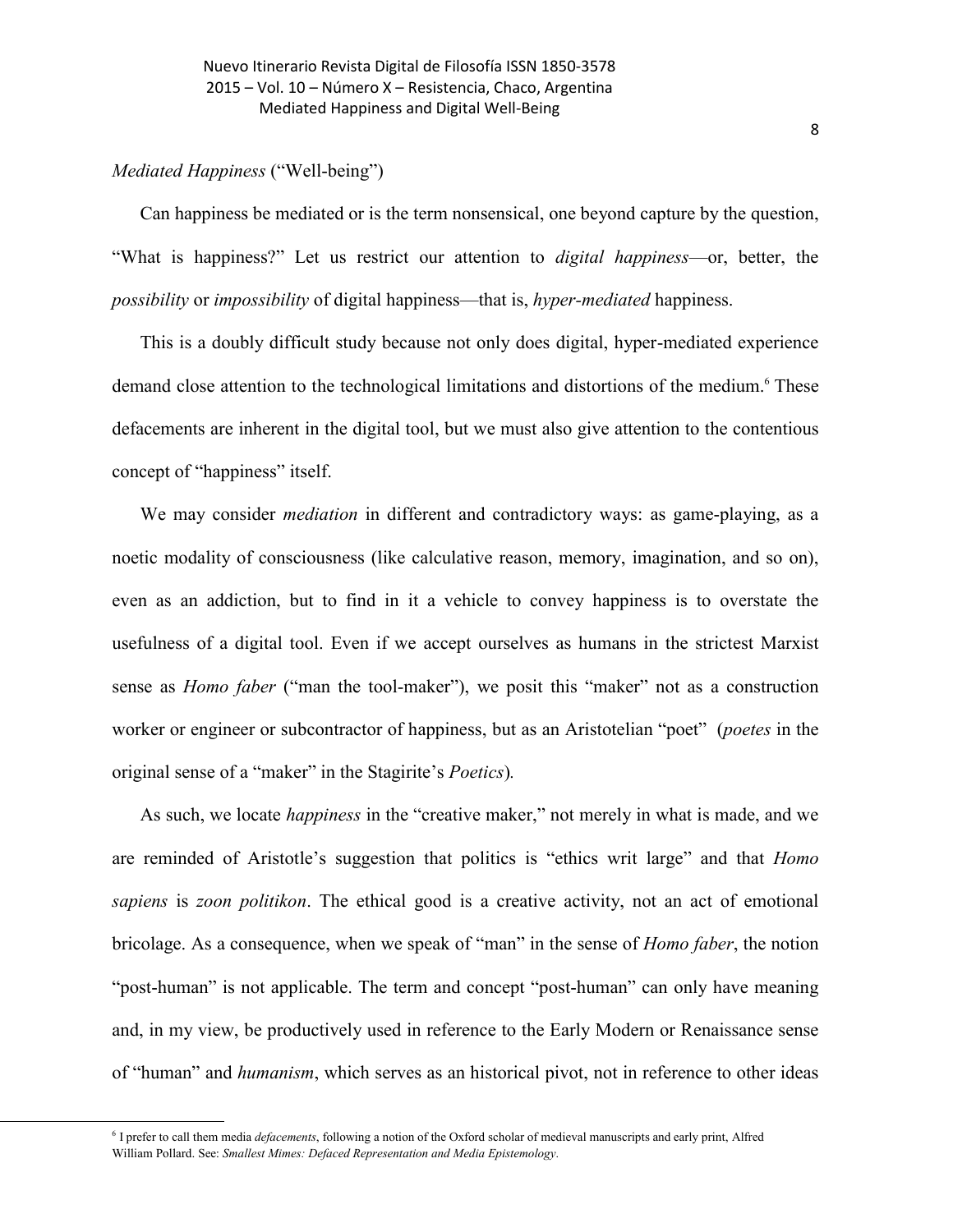# *Mediated Happiness* ("Well-being")

 $\overline{a}$ 

Can happiness be mediated or is the term nonsensical, one beyond capture by the question, "What is happiness?" Let us restrict our attention to *digital happiness*—or, better, the *possibility* or *impossibility* of digital happiness—that is, *hyper-mediated* happiness.

This is a doubly difficult study because not only does digital, hyper-mediated experience demand close attention to the technological limitations and distortions of the medium. <sup>6</sup> These defacements are inherent in the digital tool, but we must also give attention to the contentious concept of "happiness" itself.

We may consider *mediation* in different and contradictory ways: as game-playing, as a noetic modality of consciousness (like calculative reason, memory, imagination, and so on), even as an addiction, but to find in it a vehicle to convey happiness is to overstate the usefulness of a digital tool. Even if we accept ourselves as humans in the strictest Marxist sense as *Homo faber* ("man the tool-maker"), we posit this "maker" not as a construction worker or engineer or subcontractor of happiness, but as an Aristotelian "poet" (*poetes* in the original sense of a "maker" in the Stagirite's *Poetics*)*.*

As such, we locate *happiness* in the "creative maker," not merely in what is made, and we are reminded of Aristotle's suggestion that politics is "ethics writ large" and that *Homo sapiens* is *zoon politikon*. The ethical good is a creative activity, not an act of emotional bricolage. As a consequence, when we speak of "man" in the sense of *Homo faber*, the notion "post-human" is not applicable. The term and concept "post-human" can only have meaning and, in my view, be productively used in reference to the Early Modern or Renaissance sense of "human" and *humanism*, which serves as an historical pivot, not in reference to other ideas

<sup>&</sup>lt;sup>6</sup> I prefer to call them media *defacements*, following a notion of the Oxford scholar of medieval manuscripts and early print, Alfred [William Pollard.](http://www.amazon.com/Alfred-William-Pollard/e/B00MMAALBY/ref=dp_byline_cont_book_1) See: *Smallest Mimes: Defaced Representation and Media Epistemology.*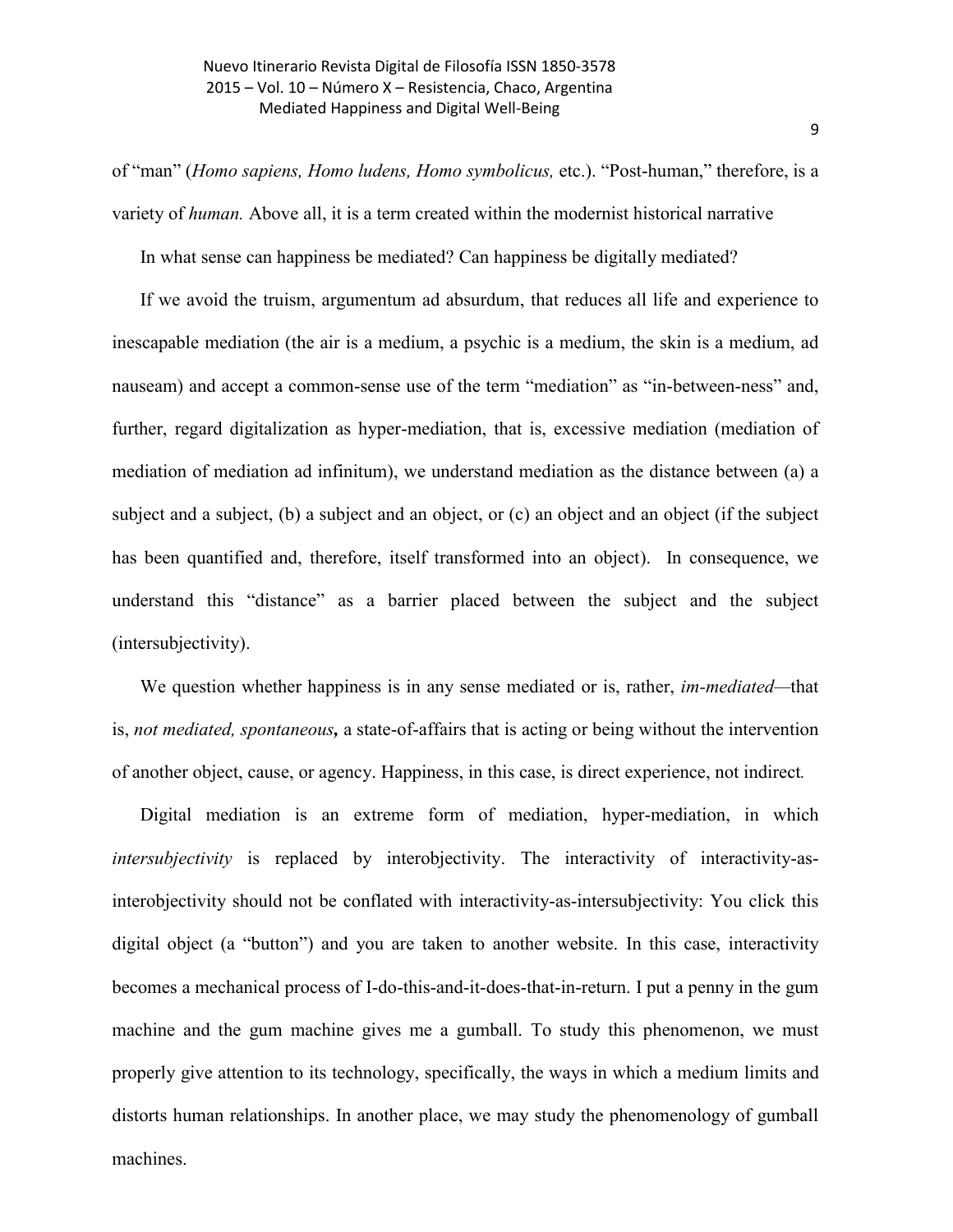of "man" (*Homo sapiens, Homo ludens, Homo symbolicus,* etc.). "Post-human," therefore, is a variety of *human.* Above all, it is a term created within the modernist historical narrative

In what sense can happiness be mediated? Can happiness be digitally mediated?

If we avoid the truism, argumentum ad absurdum, that reduces all life and experience to inescapable mediation (the air is a medium, a psychic is a medium, the skin is a medium, ad nauseam) and accept a common-sense use of the term "mediation" as "in-between-ness" and, further, regard digitalization as hyper-mediation, that is, excessive mediation (mediation of mediation of mediation ad infinitum), we understand mediation as the distance between (a) a subject and a subject, (b) a subject and an object, or (c) an object and an object (if the subject has been quantified and, therefore, itself transformed into an object). In consequence, we understand this "distance" as a barrier placed between the subject and the subject (intersubjectivity).

We question whether happiness is in any sense mediated or is, rather, *im-mediated—*that is, *not mediated, spontaneous,* a state-of-affairs that is acting or being without the intervention of another object, cause, or agency. Happiness, in this case, is [direct](http://www.merriam-webster.com/dictionary/direct) experience, not indirect*.*

Digital mediation is an extreme form of mediation, hyper-mediation, in which *intersubjectivity* is replaced by interobjectivity. The interactivity of interactivity-asinterobjectivity should not be conflated with interactivity-as-intersubjectivity: You click this digital object (a "button") and you are taken to another website. In this case, interactivity becomes a mechanical process of I-do-this-and-it-does-that-in-return. I put a penny in the gum machine and the gum machine gives me a gumball. To study this phenomenon, we must properly give attention to its technology, specifically, the ways in which a medium limits and distorts human relationships. In another place, we may study the phenomenology of gumball machines.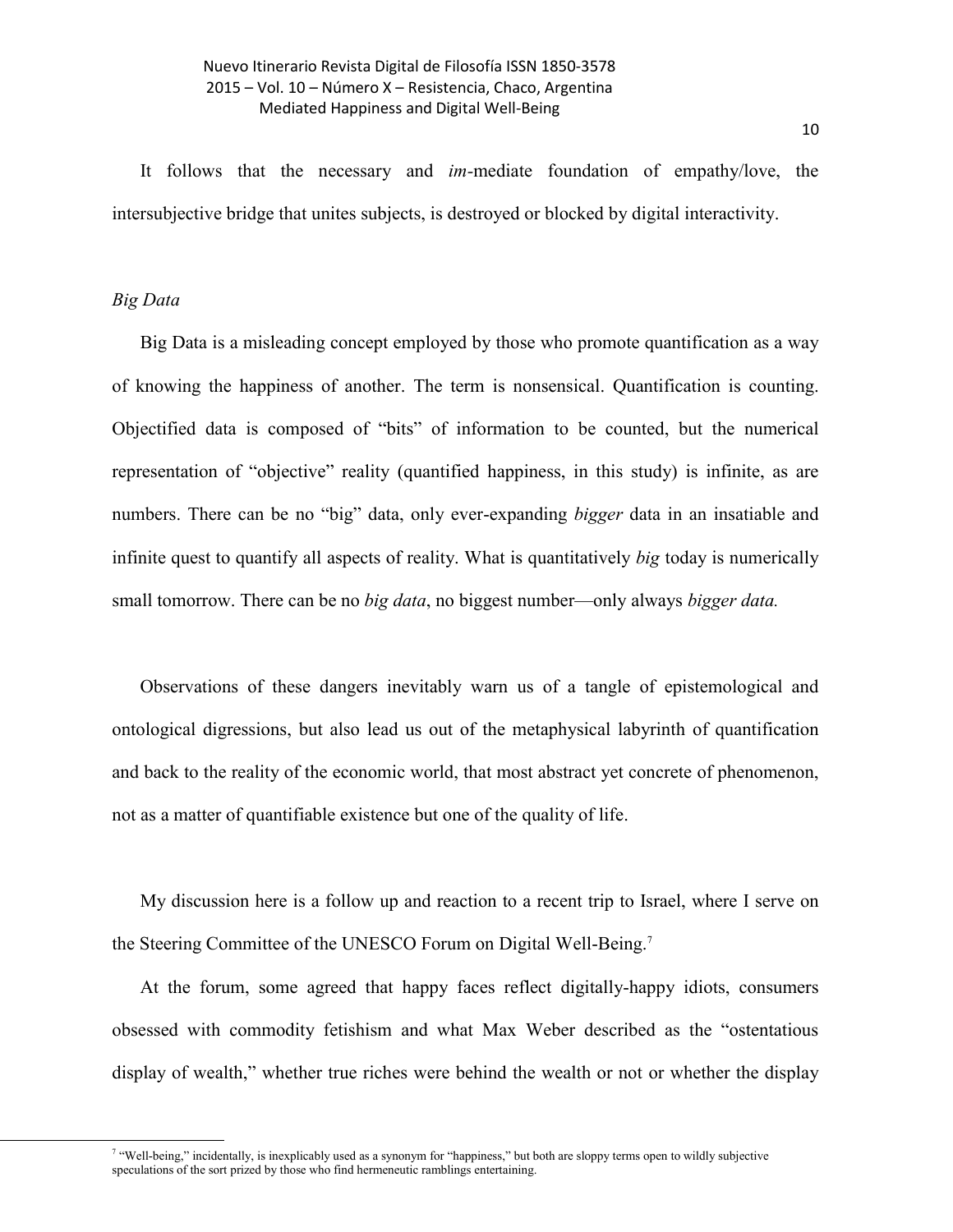It follows that the necessary and *im-*mediate foundation of empathy/love, the intersubjective bridge that unites subjects, is destroyed or blocked by digital interactivity.

## *Big Data*

l

Big Data is a misleading concept employed by those who promote quantification as a way of knowing the happiness of another. The term is nonsensical. Quantification is counting. Objectified data is composed of "bits" of information to be counted, but the numerical representation of "objective" reality (quantified happiness, in this study) is infinite, as are numbers. There can be no "big" data, only ever-expanding *bigger* data in an insatiable and infinite quest to quantify all aspects of reality. What is quantitatively *big* today is numerically small tomorrow. There can be no *big data*, no biggest number—only always *bigger data.*

Observations of these dangers inevitably warn us of a tangle of epistemological and ontological digressions, but also lead us out of the metaphysical labyrinth of quantification and back to the reality of the economic world, that most abstract yet concrete of phenomenon, not as a matter of quantifiable existence but one of the quality of life.

My discussion here is a follow up and reaction to a recent trip to Israel, where I serve on the Steering Committee of the UNESCO Forum on Digital Well-Being.<sup>7</sup>

At the forum, some agreed that happy faces reflect digitally-happy idiots, consumers obsessed with commodity fetishism and what Max Weber described as the "ostentatious display of wealth," whether true riches were behind the wealth or not or whether the display

<sup>&</sup>lt;sup>7</sup> "Well-being," incidentally, is inexplicably used as a synonym for "happiness," but both are sloppy terms open to wildly subjective speculations of the sort prized by those who find hermeneutic ramblings entertaining.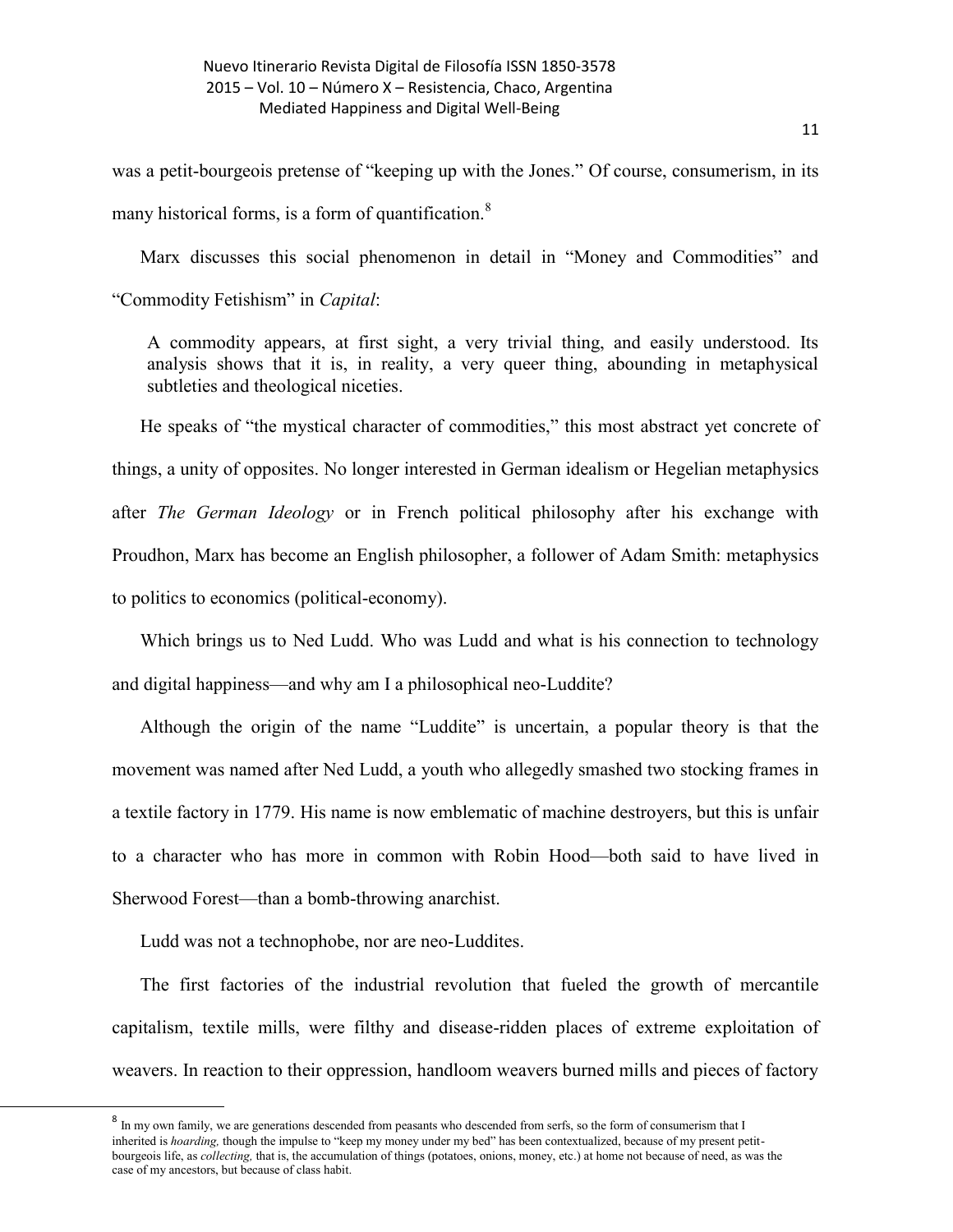was a petit-bourgeois pretense of "keeping up with the Jones." Of course, consumerism, in its many historical forms, is a form of quantification. $8$ 

Marx discusses this social phenomenon in detail in "Money and Commodities" and "Commodity Fetishism" in *Capital*:

A commodity appears, at first sight, a very trivial thing, and easily understood. Its analysis shows that it is, in reality, a very queer thing, abounding in metaphysical subtleties and theological niceties.

He speaks of "the mystical character of commodities," this most abstract yet concrete of things, a unity of opposites. No longer interested in German idealism or Hegelian metaphysics after *The German Ideology* or in French political philosophy after his exchange with Proudhon, Marx has become an English philosopher, a follower of Adam Smith: metaphysics to politics to economics (political-economy).

Which brings us to Ned Ludd. Who was Ludd and what is his connection to technology and digital happiness—and why am I a philosophical neo-Luddite?

Although the origin of the name "Luddite" is uncertain, a popular theory is that the movement was named after [Ned Ludd,](http://en.wikipedia.org/wiki/Ned_Ludd) a youth who allegedly smashed two stocking frames in a textile factory in 1779. His name is now emblematic of machine destroyers, but this is unfair to a character who has more in common with [Robin Hood](http://en.wikipedia.org/wiki/Robin_Hood)—both said to have lived in [Sherwood Forest](http://en.wikipedia.org/wiki/Sherwood_Forest)—than a bomb-throwing anarchist.

Ludd was not a technophobe, nor are neo-Luddites.

 $\overline{\phantom{a}}$ 

The first factories of the industrial revolution that fueled the growth of mercantile capitalism, textile mills, were filthy and disease-ridden places of extreme exploitation of weavers. In reaction to their oppression, handloom weavers burned mills and pieces of factory

<sup>&</sup>lt;sup>8</sup> In my own family, we are generations descended from peasants who descended from serfs, so the form of consumerism that I inherited is *hoarding,* though the impulse to "keep my money under my bed" has been contextualized, because of my present petitbourgeois life, as *collecting,* that is, the accumulation of things (potatoes, onions, money, etc.) at home not because of need, as was the case of my ancestors, but because of class habit.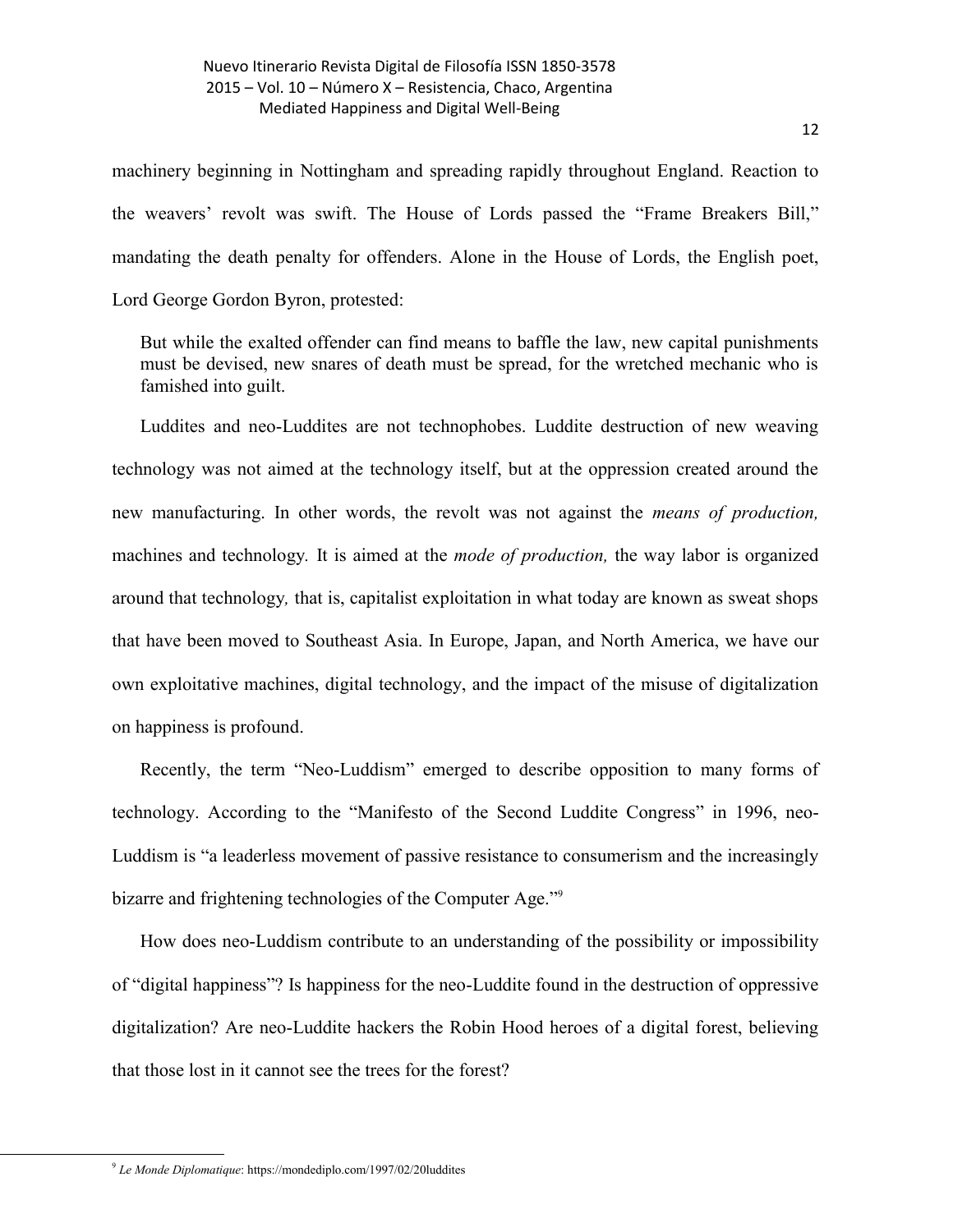machinery beginning in [Nottingham](http://en.wikipedia.org/wiki/Nottingham) and spreading rapidly throughout England. Reaction to the weavers' revolt was swift. The House of Lords passed the "Frame Breakers Bill," mandating the death penalty for offenders. Alone in the House of Lords, the English poet, Lord George Gordon Byron, protested:

But while the exalted offender can find means to baffle the law, new capital punishments must be devised, new snares of death must be spread, for the wretched mechanic who is famished into guilt.

Luddites and neo-Luddites are not technophobes. Luddite destruction of new weaving technology was not aimed at the technology itself, but at the oppression created around the new manufacturing. In other words, the revolt was not against the *means of production,*  machines and technology*.* It is aimed at the *mode of production,* the way labor is organized around that technology*,* that is, capitalist exploitation in what today are known as sweat shops that have been moved to Southeast Asia. In Europe, Japan, and North America, we have our own exploitative machines, digital technology, and the impact of the misuse of digitalization on happiness is profound.

Recently, the term "[Neo-Luddism](http://en.wikipedia.org/wiki/Neo-Luddism)" emerged to describe opposition to many forms of technology. According to the "Manifesto of the Second Luddite Congress" in 1996, neo-Luddism is "a leaderless movement of passive resistance to consumerism and the increasingly bizarre and frightening technologies of the Computer Age."<sup>9</sup>

How does neo-Luddism contribute to an understanding of the possibility or impossibility of "digital happiness"? Is happiness for the neo-Luddite found in the destruction of oppressive digitalization? Are neo-Luddite hackers the Robin Hood heroes of a digital forest, believing that those lost in it cannot see the trees for the forest?

<sup>9</sup> *Le Monde Diplomatique*: https://mondediplo.com/1997/02/20luddites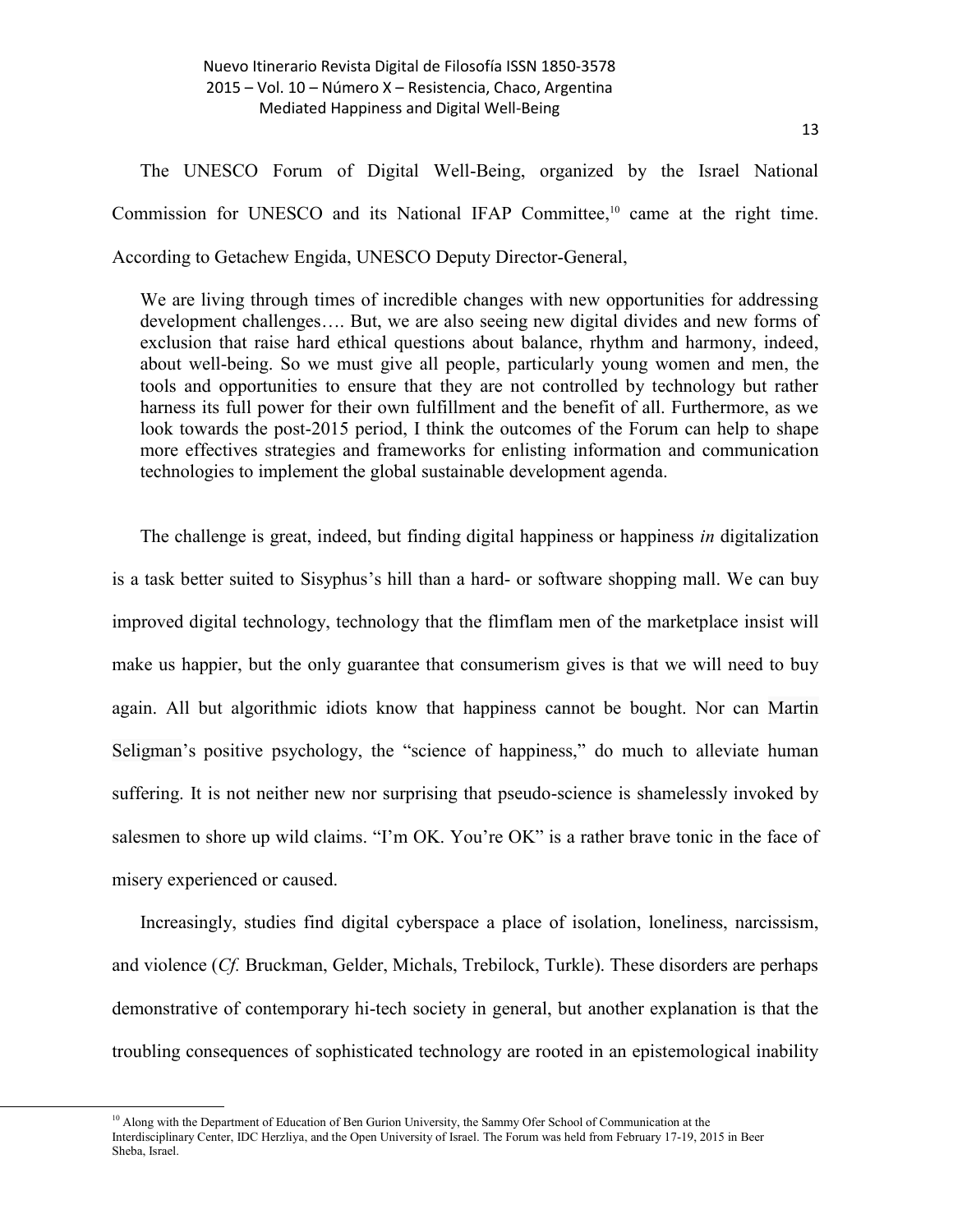The UNESCO Forum of Digital Well-Being, organized by the Israel National Commission for UNESCO and its National IFAP Committee, <sup>10</sup> came at the right time. According to Getachew Engida, UNESCO Deputy Director-General,

We are living through times of incredible changes with new opportunities for addressing development challenges…. But, we are also seeing new digital divides and new forms of exclusion that raise hard ethical questions about balance, rhythm and harmony, indeed, about well-being. So we must give all people, particularly young women and men, the tools and opportunities to ensure that they are not controlled by technology but rather harness its full power for their own fulfillment and the benefit of all. Furthermore, as we look towards the post-2015 period, I think the outcomes of the Forum can help to shape more effectives strategies and frameworks for enlisting information and communication technologies to implement the global sustainable development agenda.

The challenge is great, indeed, but finding digital happiness or happiness *in* digitalization is a task better suited to Sisyphus's hill than a hard- or software shopping mall. We can buy improved digital technology, technology that the flimflam men of the marketplace insist will make us happier, but the only guarantee that consumerism gives is that we will need to buy again. All but algorithmic idiots know that happiness cannot be bought. Nor can [Martin](https://en.wikipedia.org/wiki/Martin_Seligman)  [Seligman](https://en.wikipedia.org/wiki/Martin_Seligman)'s positive psychology, the "science of happiness," do much to alleviate human suffering. It is not neither new nor surprising that pseudo-science is shamelessly invoked by salesmen to shore up wild claims. "I'm OK. You're OK" is a rather brave tonic in the face of misery experienced or caused.

Increasingly, studies find digital cyberspace a place of isolation, loneliness, narcissism, and violence (*Cf.* Bruckman, Gelder, Michals, Trebilock, Turkle). These disorders are perhaps demonstrative of contemporary hi-tech society in general, but another explanation is that the troubling consequences of sophisticated technology are rooted in an epistemological inability

<sup>&</sup>lt;sup>10</sup> Along with the Department of Education of Ben Gurion University, the Sammy Ofer School of Communication at the Interdisciplinary Center, IDC Herzliya, and the Open University of Israel. The Forum was held from February 17-19, 2015 in Beer Sheba, Israel.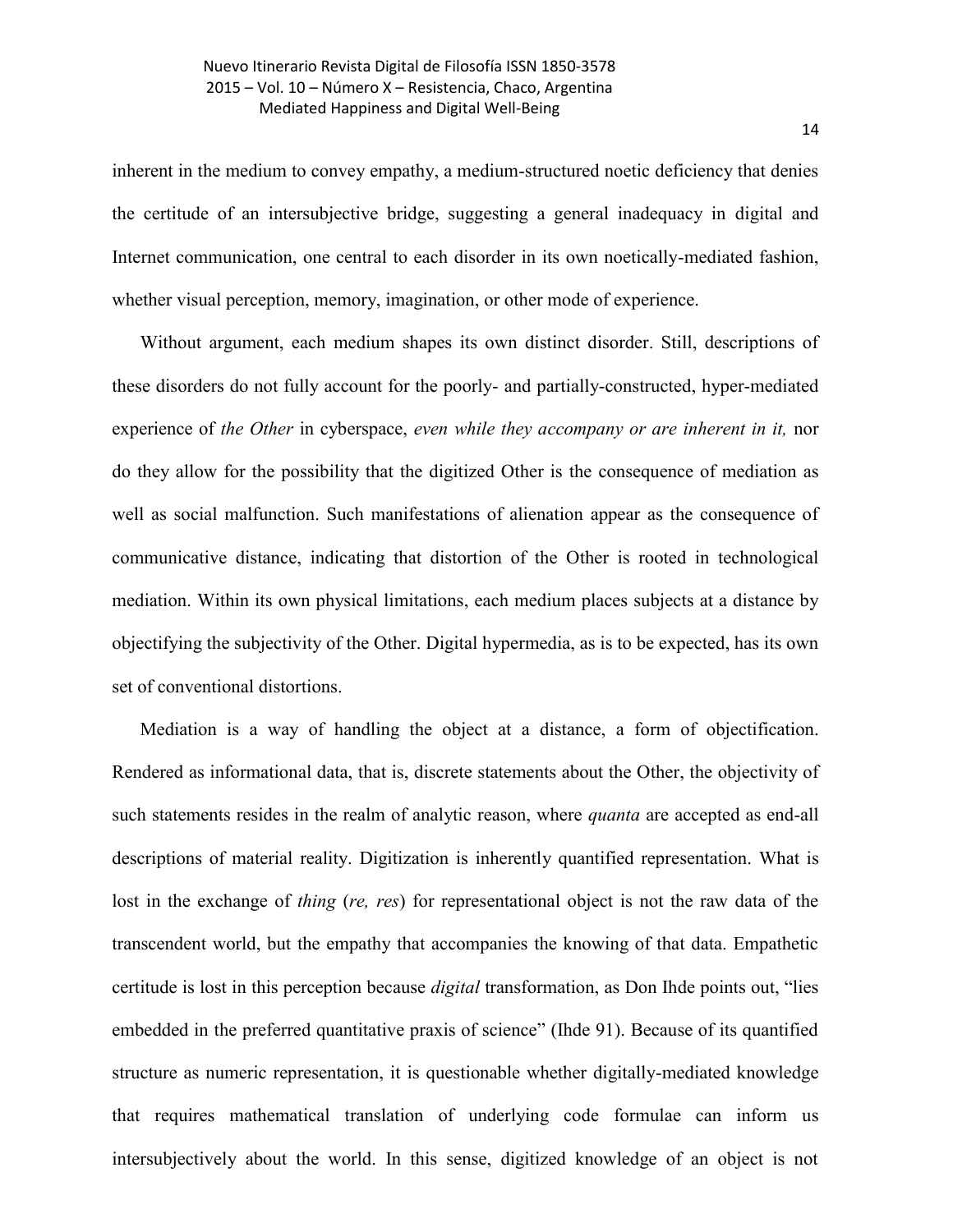inherent in the medium to convey empathy, a medium-structured noetic deficiency that denies the certitude of an intersubjective bridge, suggesting a general inadequacy in digital and Internet communication, one central to each disorder in its own noetically-mediated fashion, whether visual perception, memory, imagination, or other mode of experience.

Without argument, each medium shapes its own distinct disorder. Still, descriptions of these disorders do not fully account for the poorly- and partially-constructed, hyper-mediated experience of *the Other* in cyberspace, *even while they accompany or are inherent in it,* nor do they allow for the possibility that the digitized Other is the consequence of mediation as well as social malfunction. Such manifestations of alienation appear as the consequence of communicative distance, indicating that distortion of the Other is rooted in technological mediation. Within its own physical limitations, each medium places subjects at a distance by objectifying the subjectivity of the Other. Digital hypermedia, as is to be expected, has its own set of conventional distortions.

Mediation is a way of handling the object at a distance, a form of objectification. Rendered as informational data, that is, discrete statements about the Other, the objectivity of such statements resides in the realm of analytic reason, where *quanta* are accepted as end-all descriptions of material reality. Digitization is inherently quantified representation. What is lost in the exchange of *thing* (*re, res*) for representational object is not the raw data of the transcendent world, but the empathy that accompanies the knowing of that data. Empathetic certitude is lost in this perception because *digital* transformation, as Don Ihde points out, "lies embedded in the preferred quantitative praxis of science" (Ihde 91). Because of its quantified structure as numeric representation, it is questionable whether digitally-mediated knowledge that requires mathematical translation of underlying code formulae can inform us intersubjectively about the world. In this sense, digitized knowledge of an object is not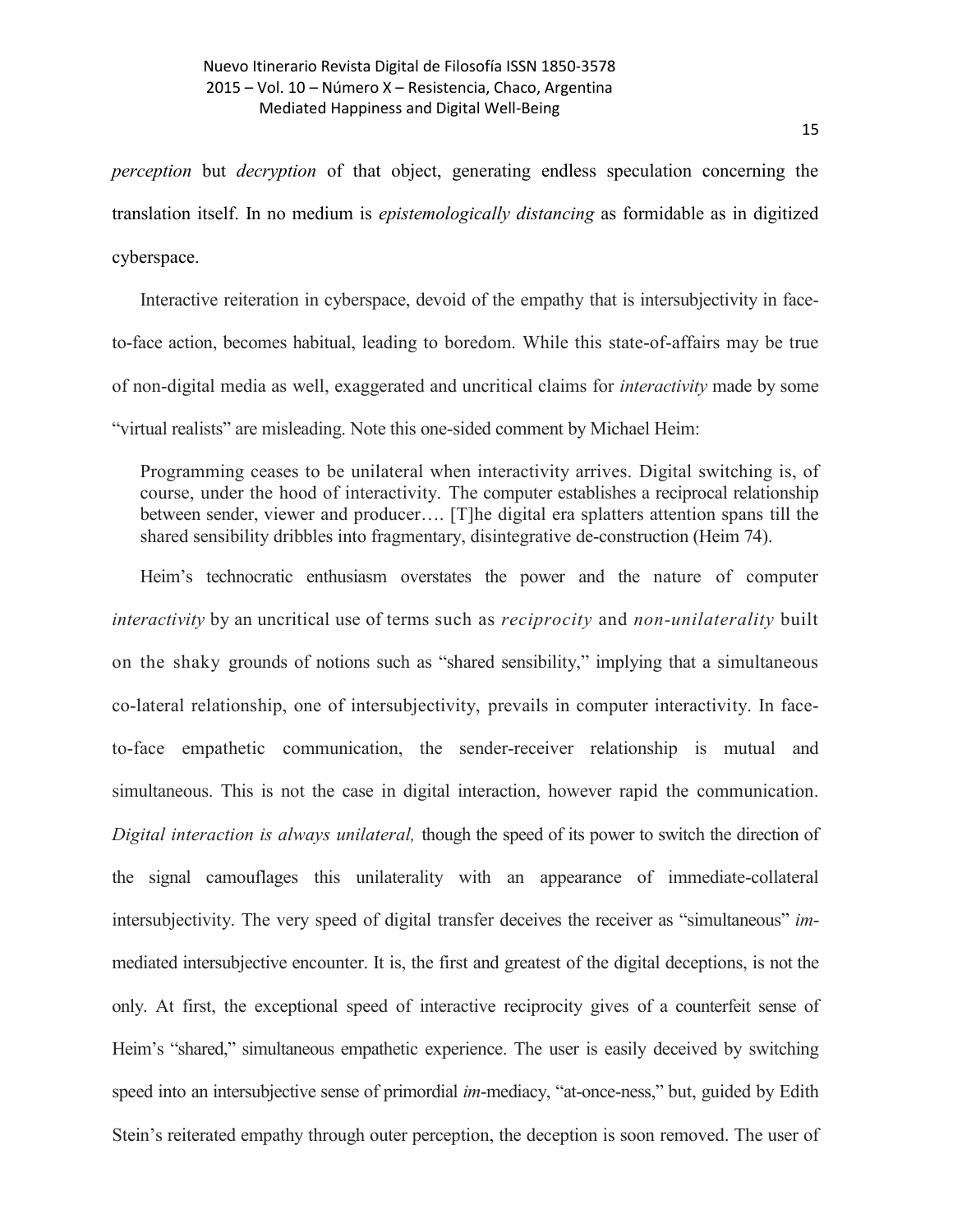*perception* but *decryption* of that object, generating endless speculation concerning the translation itself. In no medium is *epistemologically distancing* as formidable as in digitized cyberspace.

Interactive reiteration in cyberspace, devoid of the empathy that is intersubjectivity in faceto-face action, becomes habitual, leading to boredom. While this state-of-affairs may be true of non-digital media as well, exaggerated and uncritical claims for *interactivity* made by some "virtual realists" are misleading. Note this one-sided comment by Michael Heim:

Programming ceases to be unilateral when interactivity arrives. Digital switching is, of course, under the hood of interactivity. The computer establishes a reciprocal relationship between sender, viewer and producer…. [T]he digital era splatters attention spans till the shared sensibility dribbles into fragmentary, disintegrative de-construction (Heim 74).

Heim's technocratic enthusiasm overstates the power and the nature of computer *interactivity* by an uncritical use of terms such as *reciprocity* and *non-unilaterality* built on the shaky grounds of notions such as "shared sensibility," implying that a simultaneous co-lateral relationship, one of intersubjectivity, prevails in computer interactivity. In faceto-face empathetic communication, the sender-receiver relationship is mutual and simultaneous. This is not the case in digital interaction, however rapid the communication. *Digital interaction is always unilateral,* though the speed of its power to switch the direction of the signal camouflages this unilaterality with an appearance of immediate-collateral intersubjectivity. The very speed of digital transfer deceives the receiver as "simultaneous" *im*mediated intersubjective encounter. It is, the first and greatest of the digital deceptions, is not the only. At first, the exceptional speed of interactive reciprocity gives of a counterfeit sense of Heim's "shared," simultaneous empathetic experience. The user is easily deceived by switching speed into an intersubjective sense of primordial *im*-mediacy, "at-once-ness," but, guided by Edith Stein's reiterated empathy through outer perception, the deception is soon removed. The user of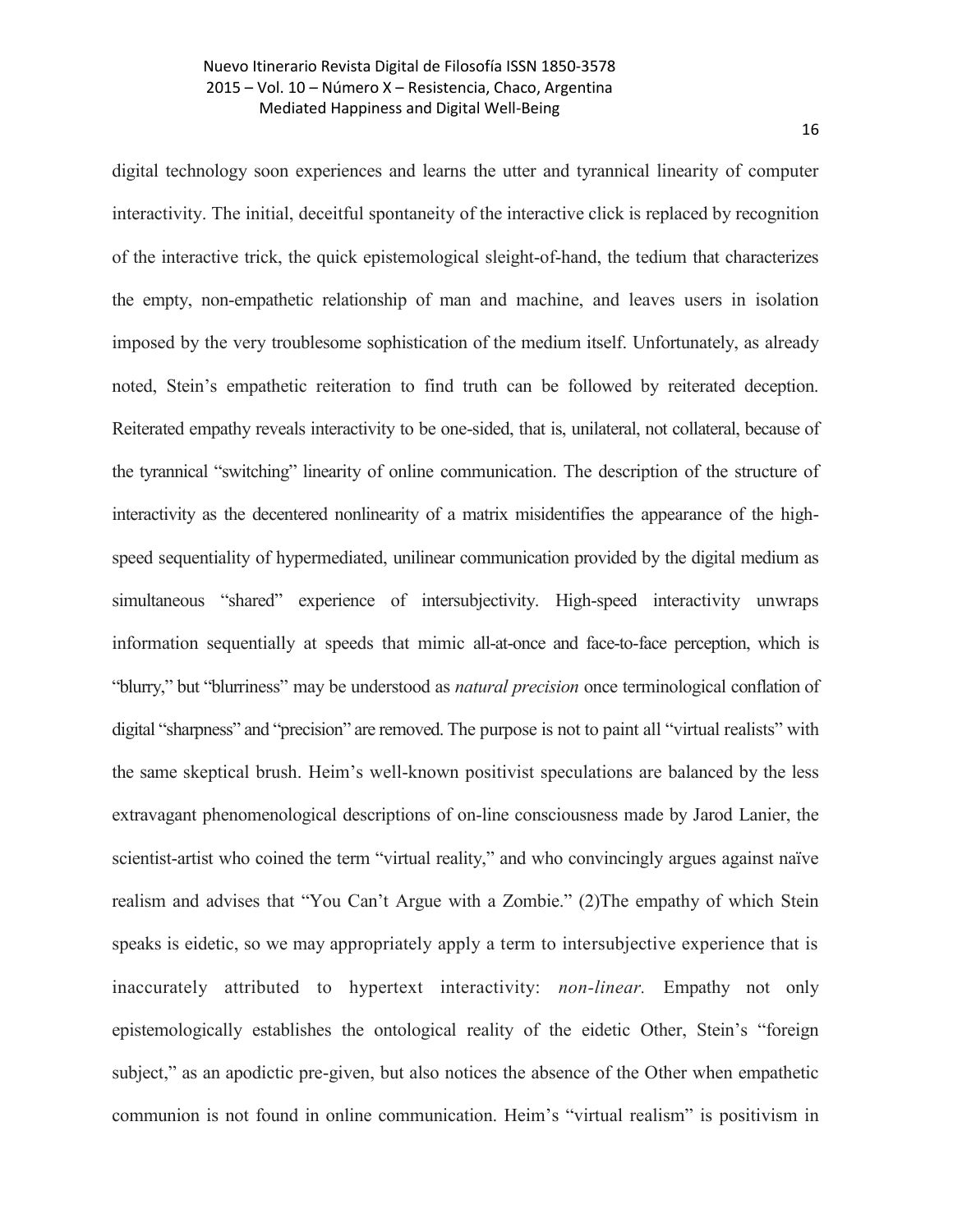digital technology soon experiences and learns the utter and tyrannical linearity of computer interactivity. The initial, deceitful spontaneity of the interactive click is replaced by recognition of the interactive trick, the quick epistemological sleight-of-hand, the tedium that characterizes the empty, non-empathetic relationship of man and machine, and leaves users in isolation imposed by the very troublesome sophistication of the medium itself. Unfortunately, as already noted, Stein's empathetic reiteration to find truth can be followed by reiterated deception. Reiterated empathy reveals interactivity to be one-sided, that is, unilateral, not collateral, because of the tyrannical "switching" linearity of online communication. The description of the structure of interactivity as the decentered nonlinearity of a matrix misidentifies the appearance of the highspeed sequentiality of hypermediated, unilinear communication provided by the digital medium as simultaneous "shared" experience of intersubjectivity. High-speed interactivity unwraps information sequentially at speeds that mimic all-at-once and face-to-face perception, which is "blurry," but "blurriness" may be understood as *natural precision* once terminological conflation of digital "sharpness" and "precision" are removed. The purpose is not to paint all "virtual realists" with the same skeptical brush. Heim's well-known positivist speculations are balanced by the less extravagant phenomenological descriptions of on-line consciousness made by Jarod Lanier, the scientist-artist who coined the term "virtual reality," and who convincingly argues against naïve realism and advises that "You Can't Argue with a Zombie." (2)The empathy of which Stein speaks is eidetic, so we may appropriately apply a term to intersubjective experience that is inaccurately attributed to hypertext interactivity: *non-linear.* Empathy not only epistemologically establishes the ontological reality of the eidetic Other, Stein's "foreign subject," as an apodictic pre-given, but also notices the absence of the Other when empathetic communion is not found in online communication. Heim's "virtual realism" is positivism in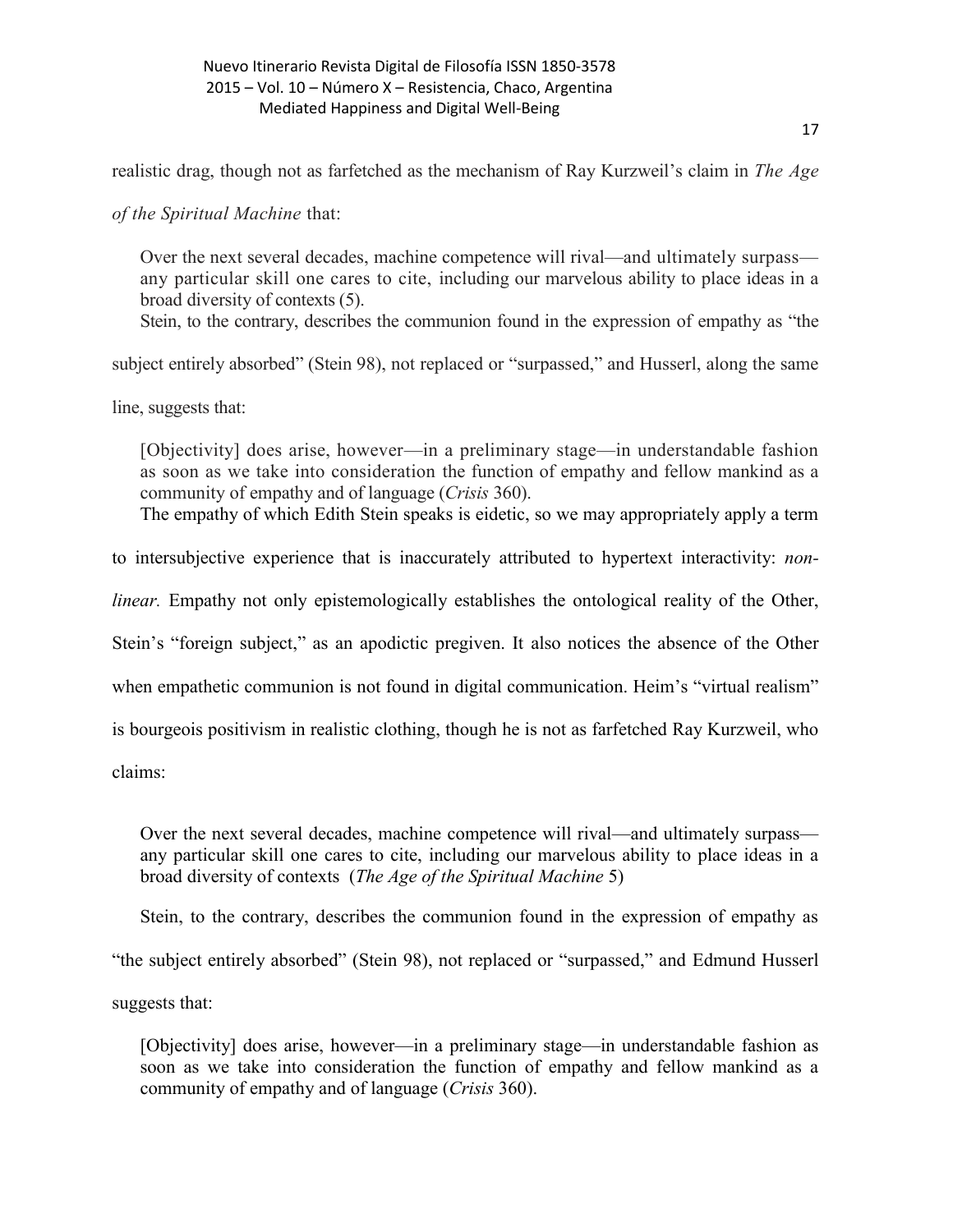realistic drag, though not as farfetched as the mechanism of Ray Kurzweil's claim in *The Age* 

*of the Spiritual Machine* that:

Over the next several decades, machine competence will rival—and ultimately surpass any particular skill one cares to cite, including our marvelous ability to place ideas in a broad diversity of contexts (5).

Stein, to the contrary, describes the communion found in the expression of empathy as "the

subject entirely absorbed" (Stein 98), not replaced or "surpassed," and Husserl, along the same

line, suggests that:

[Objectivity] does arise, however—in a preliminary stage—in understandable fashion as soon as we take into consideration the function of empathy and fellow mankind as a community of empathy and of language (*Crisis* 360).

The empathy of which Edith Stein speaks is eidetic, so we may appropriately apply a term

to intersubjective experience that is inaccurately attributed to hypertext interactivity: *non-*

*linear.* Empathy not only epistemologically establishes the ontological reality of the Other,

Stein's "foreign subject," as an apodictic pregiven. It also notices the absence of the Other

when empathetic communion is not found in digital communication. Heim's "virtual realism"

is bourgeois positivism in realistic clothing, though he is not as farfetched Ray Kurzweil, who

claims:

Over the next several decades, machine competence will rival—and ultimately surpass any particular skill one cares to cite, including our marvelous ability to place ideas in a broad diversity of contexts (*The Age of the Spiritual Machine* 5)

Stein, to the contrary, describes the communion found in the expression of empathy as

"the subject entirely absorbed" (Stein 98), not replaced or "surpassed," and Edmund Husserl

suggests that:

[Objectivity] does arise, however—in a preliminary stage—in understandable fashion as soon as we take into consideration the function of empathy and fellow mankind as a community of empathy and of language (*Crisis* 360).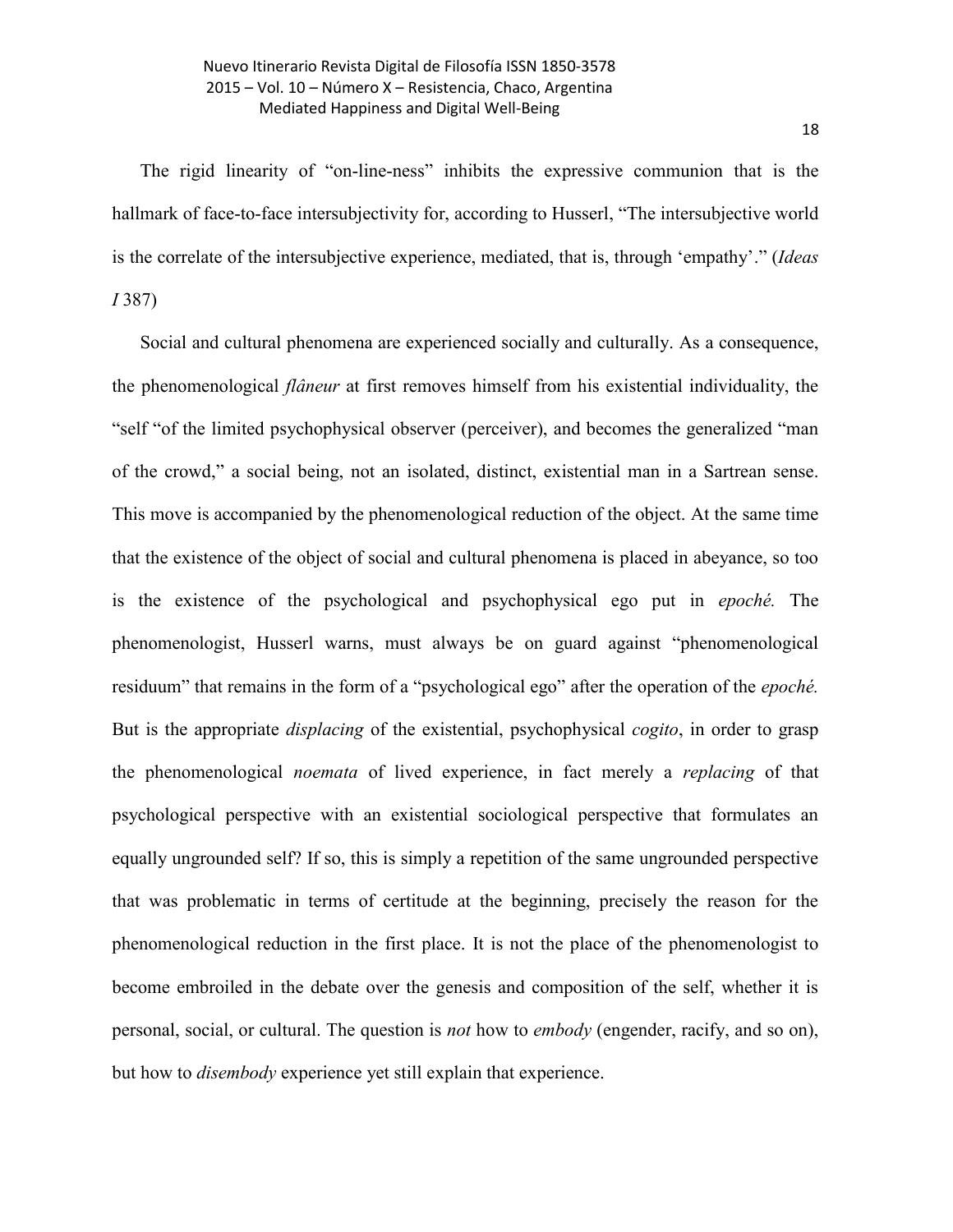The rigid linearity of "on-line-ness" inhibits the expressive communion that is the hallmark of face-to-face intersubjectivity for, according to Husserl, "The intersubjective world is the correlate of the intersubjective experience, mediated, that is, through 'empathy'." (*Ideas I* 387)

Social and cultural phenomena are experienced socially and culturally. As a consequence, the phenomenological *flâneur* at first removes himself from his existential individuality, the "self "of the limited psychophysical observer (perceiver), and becomes the generalized "man of the crowd," a social being, not an isolated, distinct, existential man in a Sartrean sense. This move is accompanied by the phenomenological reduction of the object. At the same time that the existence of the object of social and cultural phenomena is placed in abeyance, so too is the existence of the psychological and psychophysical ego put in *epoché.* The phenomenologist, Husserl warns, must always be on guard against "phenomenological residuum" that remains in the form of a "psychological ego" after the operation of the *epoché.*  But is the appropriate *displacing* of the existential, psychophysical *cogito*, in order to grasp the phenomenological *noemata* of lived experience, in fact merely a *replacing* of that psychological perspective with an existential sociological perspective that formulates an equally ungrounded self? If so, this is simply a repetition of the same ungrounded perspective that was problematic in terms of certitude at the beginning, precisely the reason for the phenomenological reduction in the first place. It is not the place of the phenomenologist to become embroiled in the debate over the genesis and composition of the self, whether it is personal, social, or cultural. The question is *not* how to *embody* (engender, racify, and so on), but how to *disembody* experience yet still explain that experience.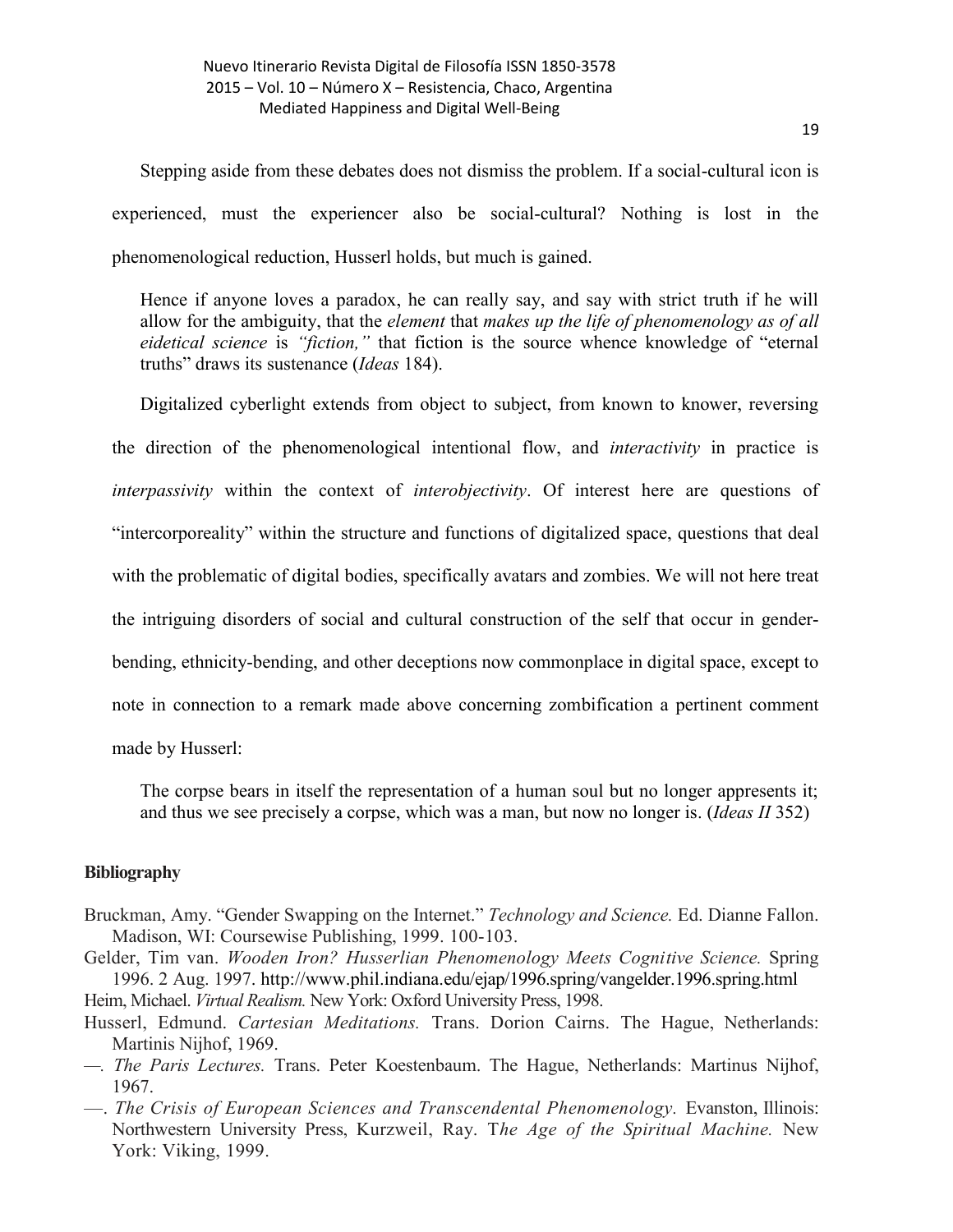Stepping aside from these debates does not dismiss the problem. If a social-cultural icon is experienced, must the experiencer also be social-cultural? Nothing is lost in the phenomenological reduction, Husserl holds, but much is gained.

Hence if anyone loves a paradox, he can really say, and say with strict truth if he will allow for the ambiguity, that the *element* that *makes up the life of phenomenology as of all eidetical science* is *"fiction,"* that fiction is the source whence knowledge of "eternal truths" draws its sustenance (*Ideas* 184).

Digitalized cyberlight extends from object to subject, from known to knower, reversing the direction of the phenomenological intentional flow, and *interactivity* in practice is *interpassivity* within the context of *interobjectivity*. Of interest here are questions of "intercorporeality" within the structure and functions of digitalized space, questions that deal with the problematic of digital bodies, specifically avatars and zombies. We will not here treat the intriguing disorders of social and cultural construction of the self that occur in genderbending, ethnicity-bending, and other deceptions now commonplace in digital space, except to note in connection to a remark made above concerning zombification a pertinent comment made by Husserl:

The corpse bears in itself the representation of a human soul but no longer appresents it; and thus we see precisely a corpse, which was a man, but now no longer is. (*Ideas II* 352)

## **Bibliography**

- Bruckman, Amy. "Gender Swapping on the Internet." *Technology and Science.* Ed. Dianne Fallon. Madison, WI: Coursewise Publishing, 1999. 100-103.
- Gelder, Tim van. *Wooden Iron? Husserlian Phenomenology Meets Cognitive Science.* Spring 1996. 2 Aug. 1997. http://www.phil.indiana.edu/ejap/1996.spring/vangelder.1996.spring.html Heim, Michael. *Virtual Realism.* New York: Oxford University Press, 1998.
- Husserl, Edmund. *Cartesian Meditations.* Trans. Dorion Cairns. The Hague, Netherlands: Martinis Nijhof, 1969.
- *—. The Paris Lectures.* Trans. Peter Koestenbaum. The Hague, Netherlands: Martinus Nijhof, 1967.
- —. *The Crisis of European Sciences and Transcendental Phenomenology.* Evanston, Illinois: Northwestern University Press, Kurzweil, Ray. T*he Age of the Spiritual Machine.* New York: Viking, 1999.